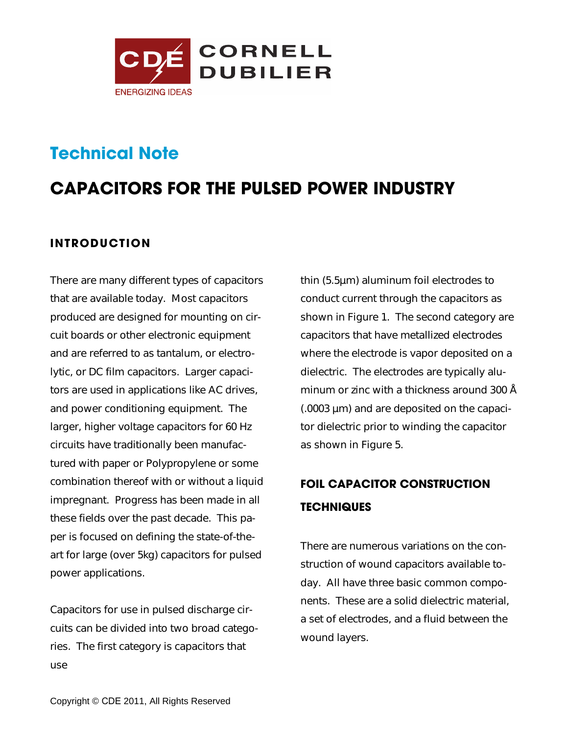

# **Technical Note**

# **CAPACITORS FOR THE PULSED POWER INDUSTRY**

## **INTRODUCTION**

There are many different types of capacitors that are available today. Most capacitors produced are designed for mounting on circuit boards or other electronic equipment and are referred to as tantalum, or electrolytic, or DC film capacitors. Larger capacitors are used in applications like AC drives, and power conditioning equipment. The larger, higher voltage capacitors for 60 Hz circuits have traditionally been manufactured with paper or Polypropylene or some combination thereof with or without a liquid impregnant. Progress has been made in all these fields over the past decade. This paper is focused on defining the state-of-theart for large (over 5kg) capacitors for pulsed power applications.

Capacitors for use in pulsed discharge circuits can be divided into two broad categories. The first category is capacitors that use

thin (5.5µm) aluminum foil electrodes to conduct current through the capacitors as shown in Figure 1. The second category are capacitors that have metallized electrodes where the electrode is vapor deposited on a dielectric. The electrodes are typically aluminum or zinc with a thickness around 300 Å (.0003 µm) and are deposited on the capacitor dielectric prior to winding the capacitor as shown in Figure 5.

## **FOIL CAPACITOR CONSTRUCTION TECHNIQUES**

There are numerous variations on the construction of wound capacitors available today. All have three basic common components. These are a solid dielectric material, a set of electrodes, and a fluid between the wound layers.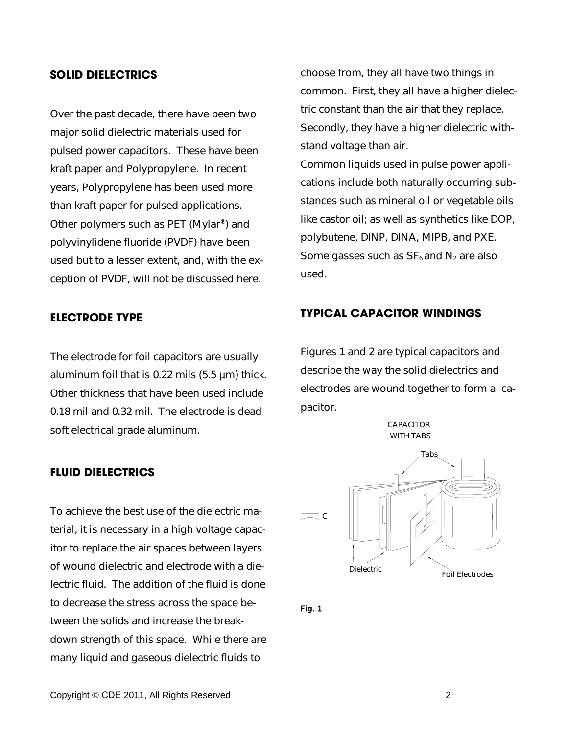### **SOLID DIELECTRICS**

Over the past decade, there have been two major solid dielectric materials used for pulsed power capacitors. These have been kraft paper and Polypropylene. In recent years, Polypropylene has been used more than kraft paper for pulsed applications. Other polymers such as PET (Mylar® ) and polyvinylidene fluoride (PVDF) have been used but to a lesser extent, and, with the exception of PVDF, will not be discussed here.

### **ELECTRODE TYPE**

The electrode for foil capacitors are usually aluminum foil that is 0.22 mils (5.5 µm) thick. Other thickness that have been used include 0.18 mil and 0.32 mil. The electrode is dead soft electrical grade aluminum.

### **FLUID DIELECTRICS**

To achieve the best use of the dielectric material, it is necessary in a high voltage capacitor to replace the air spaces between layers of wound dielectric and electrode with a dielectric fluid. The addition of the fluid is done to decrease the stress across the space between the solids and increase the breakdown strength of this space. While there are many liquid and gaseous dielectric fluids to

choose from, they all have two things in common. First, they all have a higher dielectric constant than the air that they replace. Secondly, they have a higher dielectric withstand voltage than air.

Common liquids used in pulse power applications include both naturally occurring substances such as mineral oil or vegetable oils like castor oil; as well as synthetics like DOP, polybutene, DINP, DINA, MIPB, and PXE. Some gasses such as  $SF<sub>6</sub>$  and  $N<sub>2</sub>$  are also used.

### **TYPICAL CAPACITOR WINDINGS**

Figures 1 and 2 are typical capacitors and describe the way the solid dielectrics and electrodes are wound together to form a capacitor.

> CAPACITOR WITH TARS



Fig. 1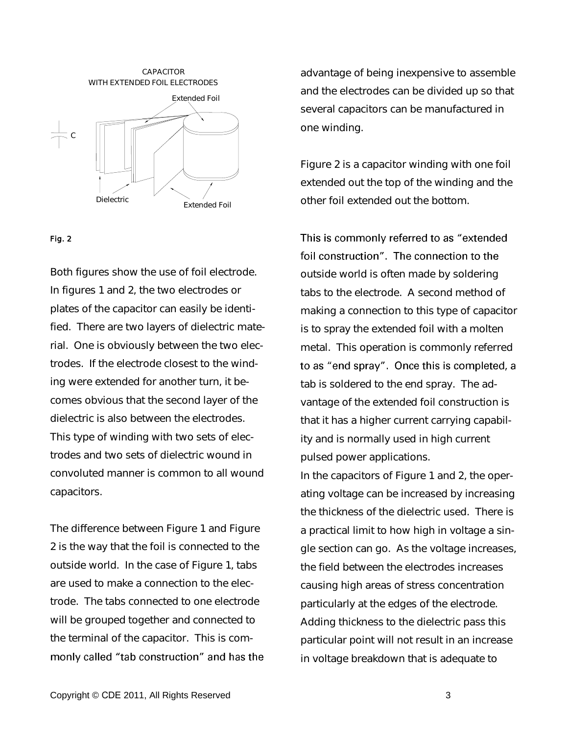

### Fig. 2

Both figures show the use of foil electrode. In figures 1 and 2, the two electrodes or plates of the capacitor can easily be identified. There are two layers of dielectric material. One is obviously between the two electrodes. If the electrode closest to the winding were extended for another turn, it becomes obvious that the second layer of the dielectric is also between the electrodes. This type of winding with two sets of electrodes and two sets of dielectric wound in convoluted manner is common to all wound capacitors.

The difference between Figure 1 and Figure 2 is the way that the foil is connected to the outside world. In the case of Figure 1, tabs are used to make a connection to the electrode. The tabs connected to one electrode will be grouped together and connected to the terminal of the capacitor. This is commonly called "tab construction" and has the advantage of being inexpensive to assemble and the electrodes can be divided up so that several capacitors can be manufactured in one winding.

Figure 2 is a capacitor winding with one foil extended out the top of the winding and the other foil extended out the bottom.

This is commonly referred to as "extended foil construction". The connection to the outside world is often made by soldering tabs to the electrode. A second method of making a connection to this type of capacitor is to spray the extended foil with a molten metal. This operation is commonly referred to as "end spray". Once this is completed, a tab is soldered to the end spray. The advantage of the extended foil construction is that it has a higher current carrying capability and is normally used in high current pulsed power applications.

In the capacitors of Figure 1 and 2, the operating voltage can be increased by increasing the thickness of the dielectric used. There is a practical limit to how high in voltage a single section can go. As the voltage increases, the field between the electrodes increases causing high areas of stress concentration particularly at the edges of the electrode. Adding thickness to the dielectric pass this particular point will not result in an increase in voltage breakdown that is adequate to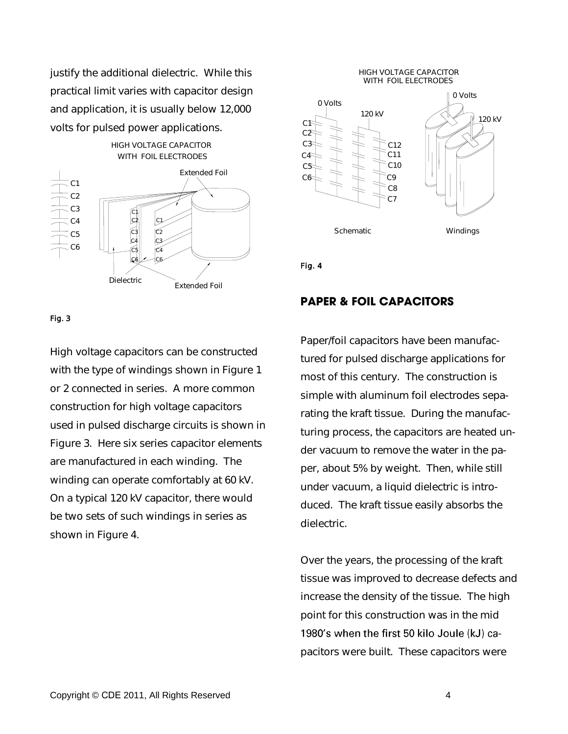justify the additional dielectric. While this practical limit varies with capacitor design and application, it is usually below 12,000 volts for pulsed power applications.



#### Fig. 3

High voltage capacitors can be constructed with the type of windings shown in Figure 1 or 2 connected in series. A more common construction for high voltage capacitors used in pulsed discharge circuits is shown in Figure 3. Here six series capacitor elements are manufactured in each winding. The winding can operate comfortably at 60 kV. On a typical 120 kV capacitor, there would be two sets of such windings in series as shown in Figure 4.

#### HIGH VOLTAGE CAPACITOR WITH FOIL ELECTRODES



Fig. 4

### **PAPER & FOIL CAPACITORS**

Paper/foil capacitors have been manufactured for pulsed discharge applications for most of this century. The construction is simple with aluminum foil electrodes separating the kraft tissue. During the manufacturing process, the capacitors are heated under vacuum to remove the water in the paper, about 5% by weight. Then, while still under vacuum, a liquid dielectric is introduced. The kraft tissue easily absorbs the dielectric.

Over the years, the processing of the kraft tissue was improved to decrease defects and increase the density of the tissue. The high point for this construction was in the mid 1980's when the first 50 kilo Joule (kJ) capacitors were built. These capacitors were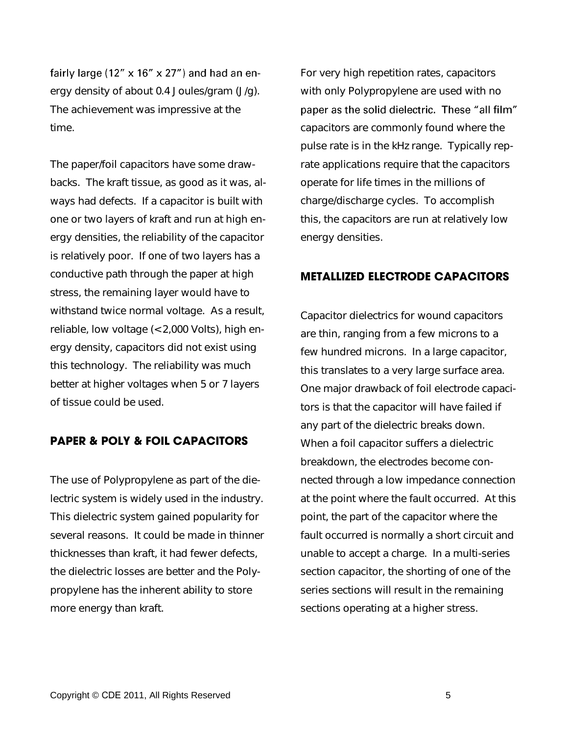fairly large (12"  $\times$  16"  $\times$  27") and had an energy density of about 0.4 Joules/gram (J/g). The achievement was impressive at the time.

The paper/foil capacitors have some drawbacks. The kraft tissue, as good as it was, always had defects. If a capacitor is built with one or two layers of kraft and run at high energy densities, the reliability of the capacitor is relatively poor. If one of two layers has a conductive path through the paper at high stress, the remaining layer would have to withstand twice normal voltage. As a result, reliable, low voltage (< 2,000 Volts), high energy density, capacitors did not exist using this technology. The reliability was much better at higher voltages when 5 or 7 layers of tissue could be used.

## **PAPER & POLY & FOIL CAPACITORS**

The use of Polypropylene as part of the dielectric system is widely used in the industry. This dielectric system gained popularity for several reasons. It could be made in thinner thicknesses than kraft, it had fewer defects, the dielectric losses are better and the Polypropylene has the inherent ability to store more energy than kraft.

For very high repetition rates, capacitors with only Polypropylene are used with no paper as the solid dielectric. These "all film" capacitors are commonly found where the pulse rate is in the kHz range. Typically reprate applications require that the capacitors operate for life times in the millions of charge/discharge cycles. To accomplish this, the capacitors are run at relatively low energy densities.

### **METALLIZED ELECTRODE CAPACITORS**

Capacitor dielectrics for wound capacitors are thin, ranging from a few microns to a few hundred microns. In a large capacitor, this translates to a very large surface area. One major drawback of foil electrode capacitors is that the capacitor will have failed if any part of the dielectric breaks down. When a foil capacitor suffers a dielectric breakdown, the electrodes become connected through a low impedance connection at the point where the fault occurred. At this point, the part of the capacitor where the fault occurred is normally a short circuit and unable to accept a charge. In a multi-series section capacitor, the shorting of one of the series sections will result in the remaining sections operating at a higher stress.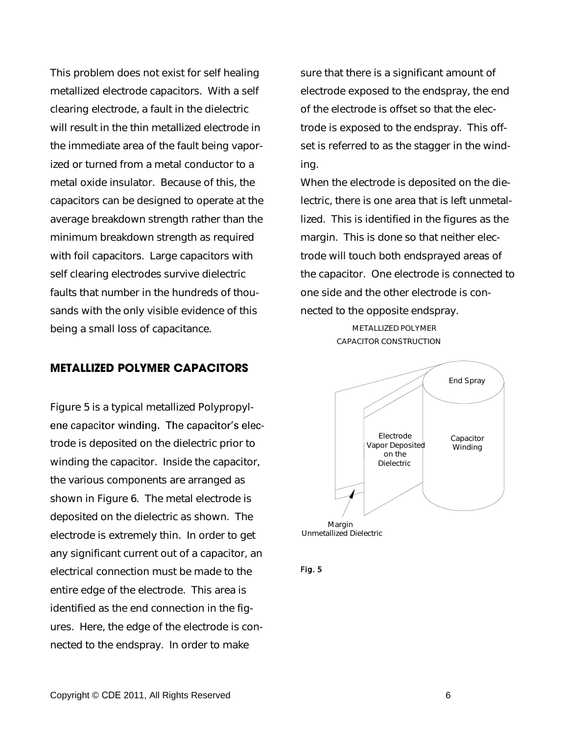This problem does not exist for self healing metallized electrode capacitors. With a self clearing electrode, a fault in the dielectric will result in the thin metallized electrode in the immediate area of the fault being vaporized or turned from a metal conductor to a metal oxide insulator. Because of this, the capacitors can be designed to operate at the average breakdown strength rather than the minimum breakdown strength as required with foil capacitors. Large capacitors with self clearing electrodes survive dielectric faults that number in the hundreds of thousands with the only visible evidence of this being a small loss of capacitance.

### **METALLIZED POLYMER CAPACITORS**

Figure 5 is a typical metallized Polypropylene capacitor winding. The capacitor's electrode is deposited on the dielectric prior to winding the capacitor. Inside the capacitor, the various components are arranged as shown in Figure 6. The metal electrode is deposited on the dielectric as shown. The electrode is extremely thin. In order to get any significant current out of a capacitor, an electrical connection must be made to the entire edge of the electrode. This area is identified as the end connection in the figures. Here, the edge of the electrode is connected to the endspray. In order to make

sure that there is a significant amount of electrode exposed to the endspray, the end of the electrode is offset so that the electrode is exposed to the endspray. This offset is referred to as the stagger in the winding.

When the electrode is deposited on the dielectric, there is one area that is left unmetallized. This is identified in the figures as the margin. This is done so that neither electrode will touch both endsprayed areas of the capacitor. One electrode is connected to one side and the other electrode is connected to the opposite endspray.

> METALLIZED POLYMER CAPACITOR CONSTRUCTION



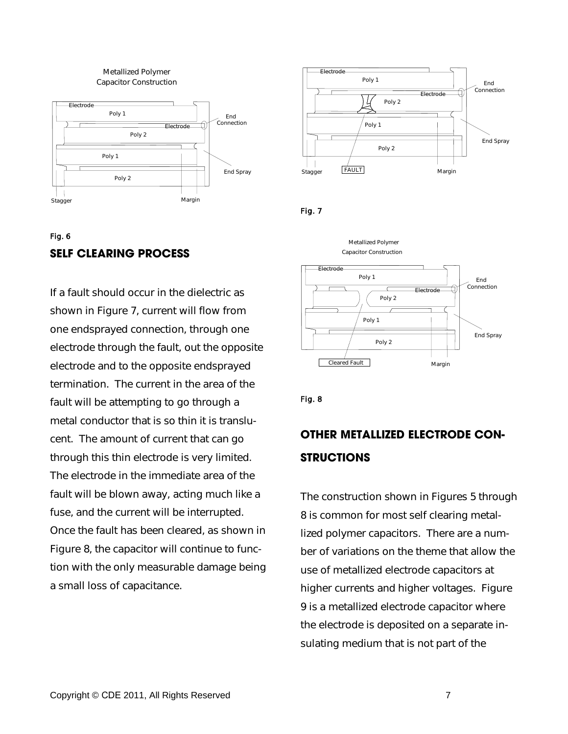

## Fig. 6 **SELF CLEARING PROCESS**

If a fault should occur in the dielectric as shown in Figure 7, current will flow from one endsprayed connection, through one electrode through the fault, out the opposite electrode and to the opposite endsprayed termination. The current in the area of the fault will be attempting to go through a metal conductor that is so thin it is translucent. The amount of current that can go through this thin electrode is very limited. The electrode in the immediate area of the fault will be blown away, acting much like a fuse, and the current will be interrupted. Once the fault has been cleared, as shown in Figure 8, the capacitor will continue to function with the only measurable damage being a small loss of capacitance.



Fig. 7



Fig. 8

## **OTHER METALLIZED ELECTRODE CON-STRUCTIONS**

The construction shown in Figures 5 through 8 is common for most self clearing metallized polymer capacitors. There are a number of variations on the theme that allow the use of metallized electrode capacitors at higher currents and higher voltages. Figure 9 is a metallized electrode capacitor where the electrode is deposited on a separate insulating medium that is not part of the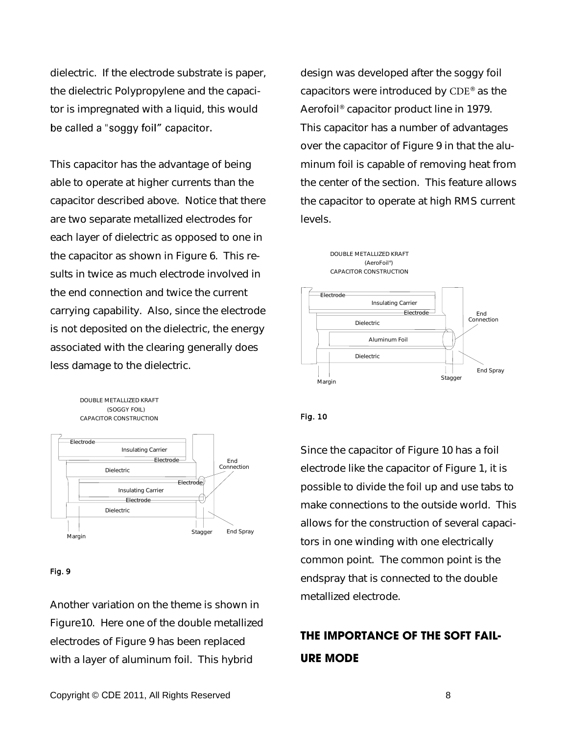dielectric. If the electrode substrate is paper, the dielectric Polypropylene and the capacitor is impregnated with a liquid, this would be called a "soggy foil" capacitor.

This capacitor has the advantage of being able to operate at higher currents than the capacitor described above. Notice that there are two separate metallized electrodes for each layer of dielectric as opposed to one in the capacitor as shown in Figure 6. This results in twice as much electrode involved in the end connection and twice the current carrying capability. Also, since the electrode is not deposited on the dielectric, the energy associated with the clearing generally does less damage to the dielectric.

DOUBLE METALLIZED KRAFT (SOGGY FOIL) CAPACITOR CONSTRUCTION Electrode Insulating Carrier Electrode Dielectric



#### Fig. 9

Another variation on the theme is shown in Figure10. Here one of the double metallized electrodes of Figure 9 has been replaced with a layer of aluminum foil. This hybrid

design was developed after the soggy foil capacitors were introduced by CDE® as the Aerofoil® capacitor product line in 1979. This capacitor has a number of advantages over the capacitor of Figure 9 in that the aluminum foil is capable of removing heat from the center of the section. This feature allows the capacitor to operate at high RMS current levels.



### Fig. 10

Since the capacitor of Figure 10 has a foil electrode like the capacitor of Figure 1, it is possible to divide the foil up and use tabs to make connections to the outside world. This allows for the construction of several capacitors in one winding with one electrically common point. The common point is the endspray that is connected to the double metallized electrode.

## **THE IMPORTANCE OF THE SOFT FAIL-URE MODE**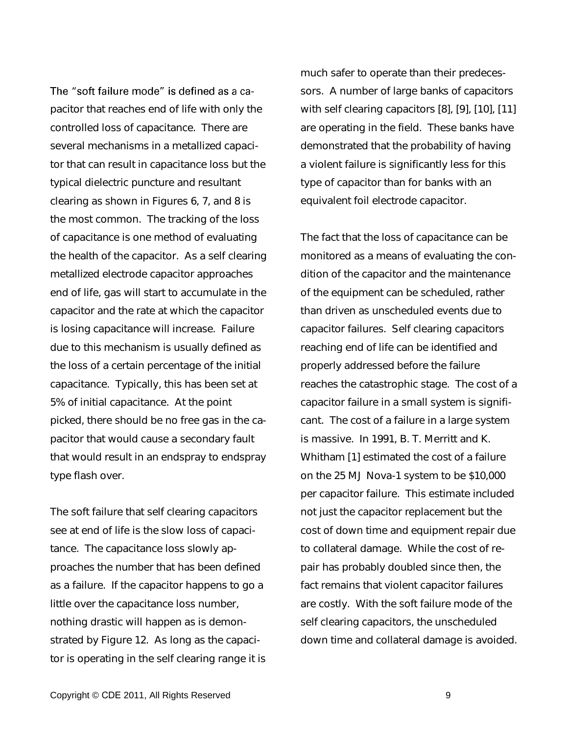The "soft failure mode" is defined as a capacitor that reaches end of life with only the controlled loss of capacitance. There are several mechanisms in a metallized capacitor that can result in capacitance loss but the typical dielectric puncture and resultant clearing as shown in Figures 6, 7, and 8 is the most common. The tracking of the loss of capacitance is one method of evaluating the health of the capacitor. As a self clearing metallized electrode capacitor approaches end of life, gas will start to accumulate in the capacitor and the rate at which the capacitor is losing capacitance will increase. Failure due to this mechanism is usually defined as the loss of a certain percentage of the initial capacitance. Typically, this has been set at 5% of initial capacitance. At the point picked, there should be no free gas in the capacitor that would cause a secondary fault that would result in an endspray to endspray type flash over.

The soft failure that self clearing capacitors see at end of life is the slow loss of capacitance. The capacitance loss slowly approaches the number that has been defined as a failure. If the capacitor happens to go a little over the capacitance loss number, nothing drastic will happen as is demonstrated by Figure 12. As long as the capacitor is operating in the self clearing range it is much safer to operate than their predecessors. A number of large banks of capacitors with self clearing capacitors [8], [9], [10], [11] are operating in the field. These banks have demonstrated that the probability of having a violent failure is significantly less for this type of capacitor than for banks with an equivalent foil electrode capacitor.

The fact that the loss of capacitance can be monitored as a means of evaluating the condition of the capacitor and the maintenance of the equipment can be scheduled, rather than driven as unscheduled events due to capacitor failures. Self clearing capacitors reaching end of life can be identified and properly addressed before the failure reaches the catastrophic stage. The cost of a capacitor failure in a small system is significant. The cost of a failure in a large system is massive. In 1991, B. T. Merritt and K. Whitham [1] estimated the cost of a failure on the 25 MJ Nova-1 system to be \$10,000 per capacitor failure. This estimate included not just the capacitor replacement but the cost of down time and equipment repair due to collateral damage. While the cost of repair has probably doubled since then, the fact remains that violent capacitor failures are costly. With the soft failure mode of the self clearing capacitors, the unscheduled down time and collateral damage is avoided.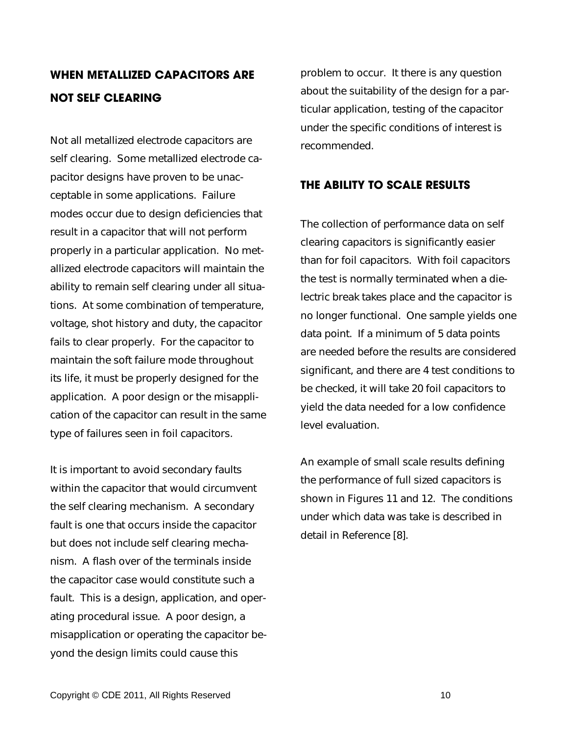## **WHEN METALLIZED CAPACITORS ARE NOT SELF CLEARING**

Not all metallized electrode capacitors are self clearing. Some metallized electrode capacitor designs have proven to be unacceptable in some applications. Failure modes occur due to design deficiencies that result in a capacitor that will not perform properly in a particular application. No metallized electrode capacitors will maintain the ability to remain self clearing under all situations. At some combination of temperature, voltage, shot history and duty, the capacitor fails to clear properly. For the capacitor to maintain the soft failure mode throughout its life, it must be properly designed for the application. A poor design or the misapplication of the capacitor can result in the same type of failures seen in foil capacitors.

It is important to avoid secondary faults within the capacitor that would circumvent the self clearing mechanism. A secondary fault is one that occurs inside the capacitor but does not include self clearing mechanism. A flash over of the terminals inside the capacitor case would constitute such a fault. This is a design, application, and operating procedural issue. A poor design, a misapplication or operating the capacitor beyond the design limits could cause this

problem to occur. It there is any question about the suitability of the design for a particular application, testing of the capacitor under the specific conditions of interest is recommended.

### **THE ABILITY TO SCALE RESULTS**

The collection of performance data on self clearing capacitors is significantly easier than for foil capacitors. With foil capacitors the test is normally terminated when a dielectric break takes place and the capacitor is no longer functional. One sample yields one data point. If a minimum of 5 data points are needed before the results are considered significant, and there are 4 test conditions to be checked, it will take 20 foil capacitors to yield the data needed for a low confidence level evaluation.

An example of small scale results defining the performance of full sized capacitors is shown in Figures 11 and 12. The conditions under which data was take is described in detail in Reference [8].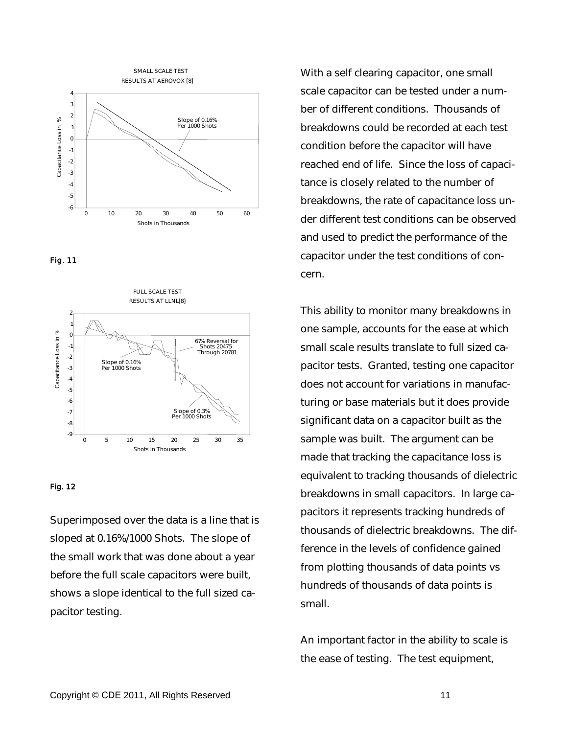





#### Fig. 12

Superimposed over the data is a line that is sloped at 0.16%/1000 Shots. The slope of the small work that was done about a year before the full scale capacitors were built, shows a slope identical to the full sized capacitor testing.

With a self clearing capacitor, one small scale capacitor can be tested under a number of different conditions. Thousands of breakdowns could be recorded at each test condition before the capacitor will have reached end of life. Since the loss of capacitance is closely related to the number of breakdowns, the rate of capacitance loss under different test conditions can be observed and used to predict the performance of the capacitor under the test conditions of concern.

This ability to monitor many breakdowns in one sample, accounts for the ease at which small scale results translate to full sized capacitor tests. Granted, testing one capacitor does not account for variations in manufacturing or base materials but it does provide significant data on a capacitor built as the sample was built. The argument can be made that tracking the capacitance loss is equivalent to tracking thousands of dielectric breakdowns in small capacitors. In large capacitors it represents tracking hundreds of thousands of dielectric breakdowns. The difference in the levels of confidence gained from plotting thousands of data points vs hundreds of thousands of data points is small.

An important factor in the ability to scale is the ease of testing. The test equipment,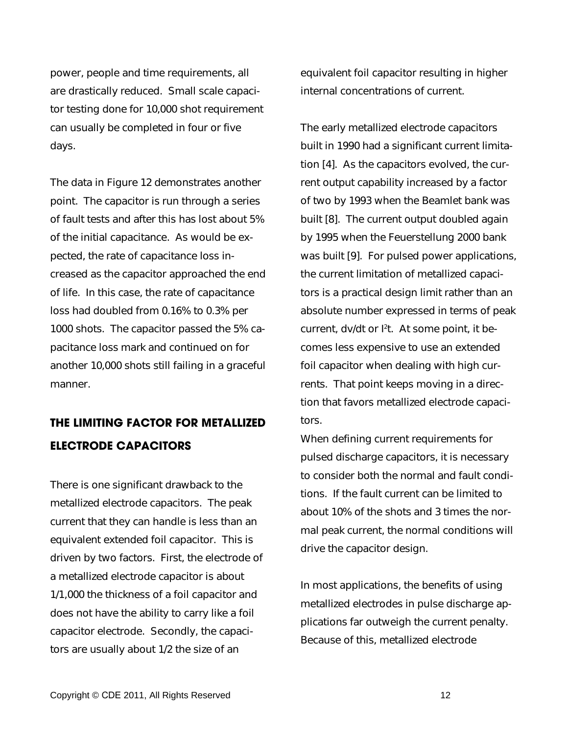power, people and time requirements, all are drastically reduced. Small scale capacitor testing done for 10,000 shot requirement can usually be completed in four or five days.

The data in Figure 12 demonstrates another point. The capacitor is run through a series of fault tests and after this has lost about 5% of the initial capacitance. As would be expected, the rate of capacitance loss increased as the capacitor approached the end of life. In this case, the rate of capacitance loss had doubled from 0.16% to 0.3% per 1000 shots. The capacitor passed the 5% capacitance loss mark and continued on for another 10,000 shots still failing in a graceful manner.

## **THE LIMITING FACTOR FOR METALLIZED ELECTRODE CAPACITORS**

There is one significant drawback to the metallized electrode capacitors. The peak current that they can handle is less than an equivalent extended foil capacitor. This is driven by two factors. First, the electrode of a metallized electrode capacitor is about 1/1,000 the thickness of a foil capacitor and does not have the ability to carry like a foil capacitor electrode. Secondly, the capacitors are usually about 1/2 the size of an

equivalent foil capacitor resulting in higher internal concentrations of current.

The early metallized electrode capacitors built in 1990 had a significant current limitation [4]. As the capacitors evolved, the current output capability increased by a factor of two by 1993 when the Beamlet bank was built [8]. The current output doubled again by 1995 when the Feuerstellung 2000 bank was built [9]. For pulsed power applications, the current limitation of metallized capacitors is a practical design limit rather than an absolute number expressed in terms of peak current, dv/dt or I<sup>2</sup> t. At some point, it becomes less expensive to use an extended foil capacitor when dealing with high currents. That point keeps moving in a direction that favors metallized electrode capacitors.

When defining current requirements for pulsed discharge capacitors, it is necessary to consider both the normal and fault conditions. If the fault current can be limited to about 10% of the shots and 3 times the normal peak current, the normal conditions will drive the capacitor design.

In most applications, the benefits of using metallized electrodes in pulse discharge applications far outweigh the current penalty. Because of this, metallized electrode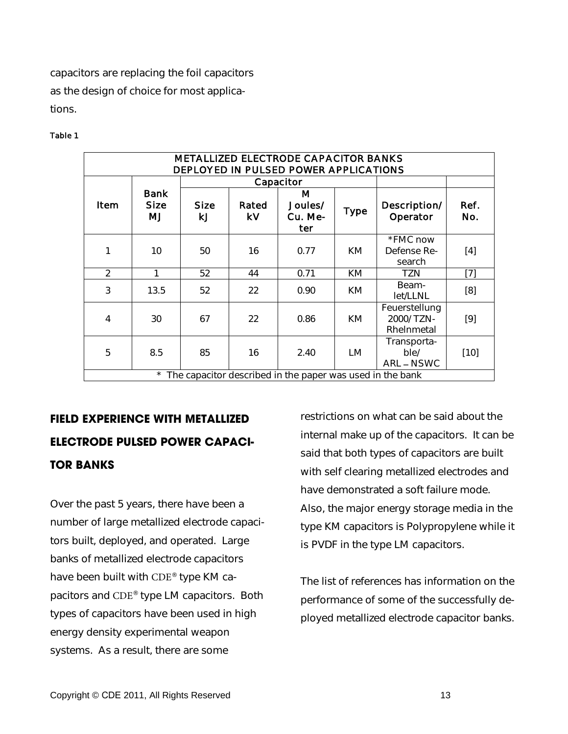capacitors are replacing the foil capacitors as the design of choice for most applications.

### Table 1

| <b>METALLIZED ELECTRODE CAPACITOR BANKS</b><br>DEPLOYED IN PULSED POWER APPLICATIONS |                           |                   |             |                                |             |                                          |             |  |  |
|--------------------------------------------------------------------------------------|---------------------------|-------------------|-------------|--------------------------------|-------------|------------------------------------------|-------------|--|--|
|                                                                                      |                           | Capacitor         |             |                                |             |                                          |             |  |  |
| Item                                                                                 | Bank<br><b>Size</b><br>MJ | <b>Size</b><br>kJ | Rated<br>k٧ | M<br>Joules/<br>Cu. Me-<br>ter | <b>Type</b> | Description/<br>Operator                 | Ref.<br>No. |  |  |
|                                                                                      | 10                        | 50                | 16          | 0.77                           | <b>KM</b>   | *FMC now<br>Defense Re-<br>search        | [4]         |  |  |
| $\overline{2}$                                                                       | 1                         | 52                | 44          | 0.71                           | KM          | <b>TZN</b>                               | $[7]$       |  |  |
| 3                                                                                    | 13.5                      | 52                | 22          | 0.90                           | KM          | Beam-<br>let/LLNL                        | [8]         |  |  |
| 4                                                                                    | 30                        | 67                | 22          | 0.86                           | KM          | Feuerstellung<br>2000/TZN-<br>Rhelnmetal | [9]         |  |  |
| 5                                                                                    | 8.5                       | 85                | 16          | 2.40                           | <b>LM</b>   | Transporta-<br>ble/<br>ARL-NSWC          | $[10]$      |  |  |
| $\star$<br>The capacitor described in the paper was used in the bank                 |                           |                   |             |                                |             |                                          |             |  |  |

**FIELD EXPERIENCE WITH METALLIZED ELECTRODE PULSED POWER CAPACI-TOR BANKS**

Over the past 5 years, there have been a number of large metallized electrode capacitors built, deployed, and operated. Large banks of metallized electrode capacitors have been built with CDE® type KM capacitors and CDE® type LM capacitors. Both types of capacitors have been used in high energy density experimental weapon systems. As a result, there are some

restrictions on what can be said about the internal make up of the capacitors. It can be said that both types of capacitors are built with self clearing metallized electrodes and have demonstrated a soft failure mode. Also, the major energy storage media in the type KM capacitors is Polypropylene while it is PVDF in the type LM capacitors.

The list of references has information on the performance of some of the successfully deployed metallized electrode capacitor banks.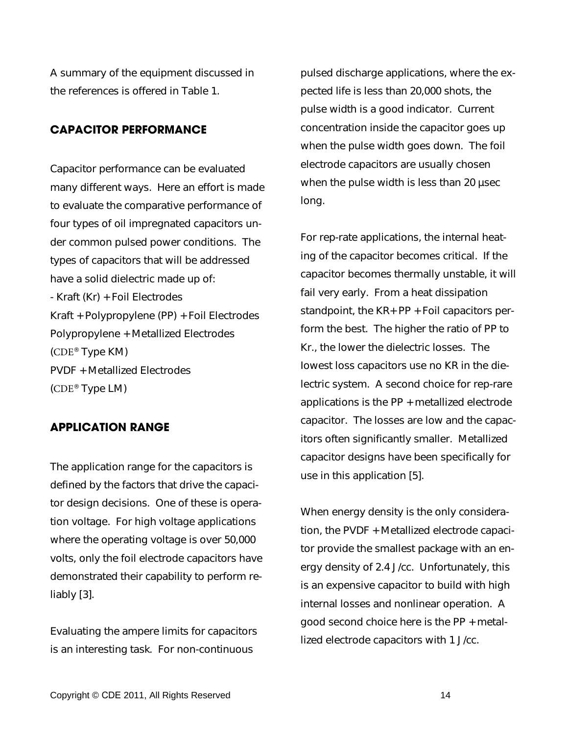A summary of the equipment discussed in the references is offered in Table 1.

### **CAPACITOR PERFORMANCE**

Capacitor performance can be evaluated many different ways. Here an effort is made to evaluate the comparative performance of four types of oil impregnated capacitors under common pulsed power conditions. The types of capacitors that will be addressed have a solid dielectric made up of: - Kraft (Kr) + Foil Electrodes Kraft + Polypropylene (PP) + Foil Electrodes Polypropylene + Metallized Electrodes (CDE® Type KM) PVDF + Metallized Electrodes (CDE® Type LM)

### **APPLICATION RANGE**

The application range for the capacitors is defined by the factors that drive the capacitor design decisions. One of these is operation voltage. For high voltage applications where the operating voltage is over 50,000 volts, only the foil electrode capacitors have demonstrated their capability to perform reliably [3].

Evaluating the ampere limits for capacitors is an interesting task. For non-continuous

pulsed discharge applications, where the expected life is less than 20,000 shots, the pulse width is a good indicator. Current concentration inside the capacitor goes up when the pulse width goes down. The foil electrode capacitors are usually chosen when the pulse width is less than 20 usec long.

For rep-rate applications, the internal heating of the capacitor becomes critical. If the capacitor becomes thermally unstable, it will fail very early. From a heat dissipation standpoint, the KR+ PP + Foil capacitors perform the best. The higher the ratio of PP to Kr., the lower the dielectric losses. The Iowest loss capacitors use no KR in the dielectric system. A second choice for rep-rare applications is the PP + metallized electrode capacitor. The losses are low and the capacitors often significantly smaller. Metallized capacitor designs have been specifically for use in this application [5].

When energy density is the only consideration, the PVDF + Metallized electrode capacitor provide the smallest package with an energy density of 2.4 J/cc. Unfortunately, this is an expensive capacitor to build with high internal losses and nonlinear operation. A good second choice here is the PP + metallized electrode capacitors with 1 J/cc.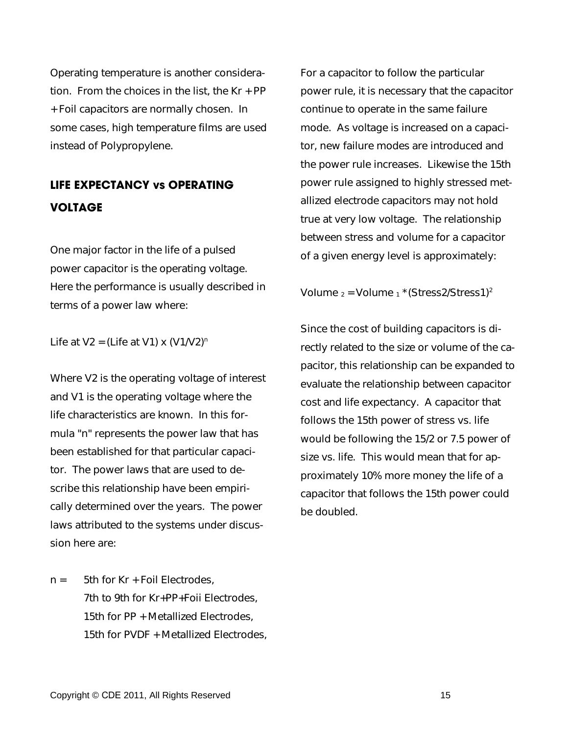Operating temperature is another consideration. From the choices in the list, the Kr + PP + Foil capacitors are normally chosen. In some cases, high temperature films are used instead of Polypropylene.

## **LIFE EXPECTANCY vs OPERATING VOLTAGE**

One major factor in the life of a pulsed power capacitor is the operating voltage. Here the performance is usually described in terms of a power law where:

Life at  $V2 = (Life at V1) \times (V1/V2)^n$ 

Where V2 is the operating voltage of interest and V1 is the operating voltage where the life characteristics are known. In this formula "n" represents the power law that has been established for that particular capacitor. The power laws that are used to describe this relationship have been empirically determined over the years. The power laws attributed to the systems under discussion here are:

 $n = 5$ th for Kr + Foil Electrodes. 7th to 9th for Kr+PP+Foii Electrodes, 15th for PP + Metallized Electrodes, 15th for PVDF + Metallized Electrodes, For a capacitor to follow the particular power rule, it is necessary that the capacitor continue to operate in the same failure mode. As voltage is increased on a capacitor, new failure modes are introduced and the power rule increases. Likewise the 15th power rule assigned to highly stressed metallized electrode capacitors may not hold true at very low voltage. The relationship between stress and volume for a capacitor of a given energy level is approximately:

Volume  $2 =$  Volume  $1 \times (Stress2/Stress1)^2$ 

Since the cost of building capacitors is directly related to the size or volume of the capacitor, this relationship can be expanded to evaluate the relationship between capacitor cost and life expectancy. A capacitor that follows the 15th power of stress vs. life would be following the 15/2 or 7.5 power of size vs. life. This would mean that for approximately 10% more money the life of a capacitor that follows the 15th power could be doubled.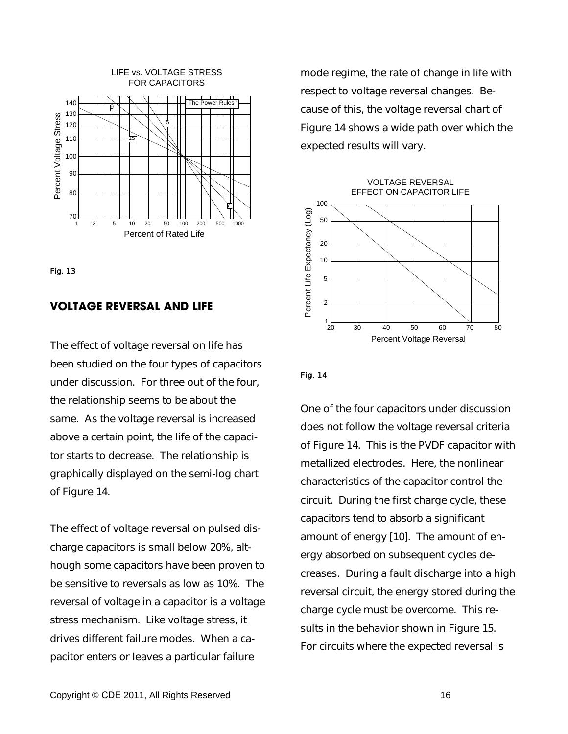



### **VOLTAGE REVERSAL AND LIFE**

The effect of voltage reversal on life has been studied on the four types of capacitors under discussion. For three out of the four, the relationship seems to be about the same. As the voltage reversal is increased above a certain point, the life of the capacitor starts to decrease. The relationship is graphically displayed on the semi-log chart of Figure 14.

The effect of voltage reversal on pulsed discharge capacitors is small below 20%, although some capacitors have been proven to be sensitive to reversals as low as 10%. The reversal of voltage in a capacitor is a voltage stress mechanism. Like voltage stress, it drives different failure modes. When a capacitor enters or Ieaves a particular failure

mode regime, the rate of change in life with respect to voltage reversal changes. Because of this, the voltage reversal chart of Figure 14 shows a wide path over which the expected results will vary.





### Fig. 14

One of the four capacitors under discussion does not follow the voltage reversal criteria of Figure 14. This is the PVDF capacitor with metallized electrodes. Here, the nonlinear characteristics of the capacitor control the circuit. During the first charge cycle, these capacitors tend to absorb a significant amount of energy [10]. The amount of energy absorbed on subsequent cycles decreases. During a fault discharge into a high reversal circuit, the energy stored during the charge cycle must be overcome. This results in the behavior shown in Figure 15. For circuits where the expected reversal is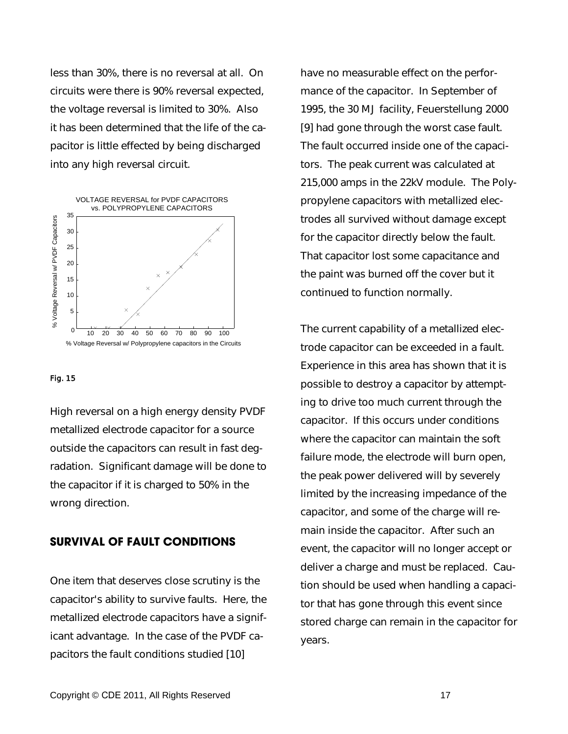less than 30%, there is no reversal at all. On circuits were there is 90% reversal expected, the voltage reversal is limited to 30%. Also it has been determined that the life of the capacitor is little effected by being discharged into any high reversal circuit.



#### Fig. 15

High reversal on a high energy density PVDF metallized electrode capacitor for a source outside the capacitors can result in fast degradation. Significant damage will be done to the capacitor if it is charged to 50% in the wrong direction.

### **SURVIVAL OF FAULT CONDITIONS**

One item that deserves close scrutiny is the capacitor's ability to survive faults. Here, the metallized electrode capacitors have a significant advantage. In the case of the PVDF capacitors the fault conditions studied [10]

have no measurable effect on the performance of the capacitor. In September of 1995, the 30 MJ facility, Feuerstellung 2000 [9] had gone through the worst case fault. The fault occurred inside one of the capacitors. The peak current was calculated at 215,000 amps in the 22kV module. The Polypropylene capacitors with metallized electrodes all survived without damage except for the capacitor directly below the fault. That capacitor lost some capacitance and the paint was burned off the cover but it continued to function normally.

The current capability of a metallized electrode capacitor can be exceeded in a fault. Experience in this area has shown that it is possible to destroy a capacitor by attempting to drive too much current through the capacitor. If this occurs under conditions where the capacitor can maintain the soft failure mode, the electrode will burn open, the peak power delivered will by severely limited by the increasing impedance of the capacitor, and some of the charge will remain inside the capacitor. After such an event, the capacitor will no longer accept or deliver a charge and must be replaced. Caution should be used when handling a capacitor that has gone through this event since stored charge can remain in the capacitor for years.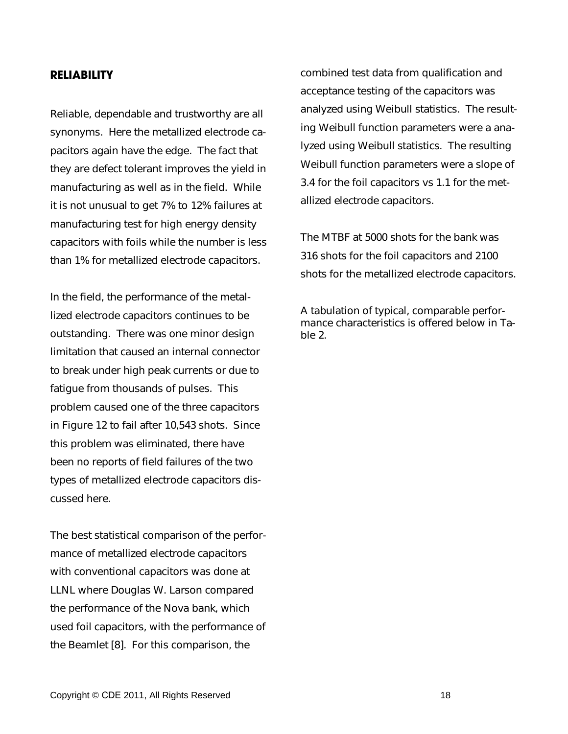### **RELIABILITY**

Reliable, dependable and trustworthy are all synonyms. Here the metallized electrode capacitors again have the edge. The fact that they are defect tolerant improves the yield in manufacturing as well as in the field. While it is not unusual to get 7% to 12% failures at manufacturing test for high energy density capacitors with foils while the number is less than 1% for metallized electrode capacitors.

In the field, the performance of the metallized electrode capacitors continues to be outstanding. There was one minor design limitation that caused an internal connector to break under high peak currents or due to fatigue from thousands of pulses. This problem caused one of the three capacitors in Figure 12 to fail after 10,543 shots. Since this problem was eliminated, there have been no reports of field failures of the two types of metallized electrode capacitors discussed here.

The best statistical comparison of the performance of metallized electrode capacitors with conventional capacitors was done at LLNL where Douglas W. Larson compared the performance of the Nova bank, which used foil capacitors, with the performance of the Beamlet [8]. For this comparison, the

combined test data from qualification and acceptance testing of the capacitors was analyzed using Weibull statistics. The resulting Weibull function parameters were a analyzed using Weibull statistics. The resulting Weibull function parameters were a slope of 3.4 for the foil capacitors vs 1.1 for the metallized electrode capacitors.

The MTBF at 5000 shots for the bank was 316 shots for the foil capacitors and 2100 shots for the metallized electrode capacitors.

A tabulation of typical, comparable performance characteristics is offered below in Table 2.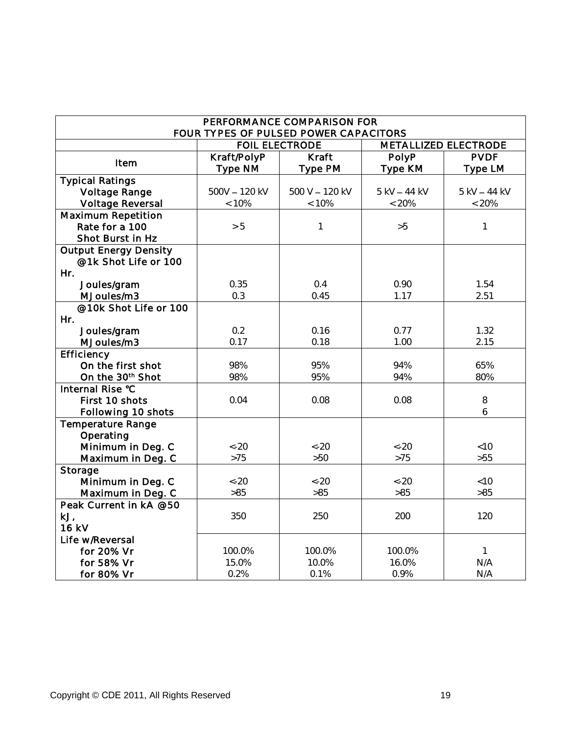| PERFORMANCE COMPARISON FOR   |                       |                                       |                      |              |  |  |  |  |
|------------------------------|-----------------------|---------------------------------------|----------------------|--------------|--|--|--|--|
|                              |                       | FOUR TYPES OF PULSED POWER CAPACITORS |                      |              |  |  |  |  |
|                              | <b>FOIL ELECTRODE</b> |                                       | METALLIZED ELECTRODE |              |  |  |  |  |
| Item                         | Kraft/PolyP           | Kraft                                 | PolyP                | <b>PVDF</b>  |  |  |  |  |
|                              | Type NM               | Type PM                               | Type KM              | Type LM      |  |  |  |  |
| <b>Typical Ratings</b>       |                       |                                       |                      |              |  |  |  |  |
| Voltage Range                | 500V - 120 kV         | 500 V - 120 kV                        | 5 kV - 44 kV         | 5 kV - 44 kV |  |  |  |  |
| Voltage Reversal             | < 10%                 | < 10%                                 | $< 20\%$             | $< 20\%$     |  |  |  |  |
| Maximum Repetition           |                       |                                       |                      |              |  |  |  |  |
| Rate for a 100               | > 5                   | $\mathbf 1$                           | >5                   | $\mathbf 1$  |  |  |  |  |
| Shot Burst in Hz             |                       |                                       |                      |              |  |  |  |  |
| <b>Output Energy Density</b> |                       |                                       |                      |              |  |  |  |  |
| @1k Shot Life or 100         |                       |                                       |                      |              |  |  |  |  |
| Hr.                          |                       |                                       |                      |              |  |  |  |  |
| Joules/gram                  | 0.35                  | 0.4                                   | 0.90                 | 1.54         |  |  |  |  |
| MJoules/m3                   | 0.3                   | 0.45                                  | 1.17                 | 2.51         |  |  |  |  |
| @10k Shot Life or 100        |                       |                                       |                      |              |  |  |  |  |
| Hr.                          |                       |                                       |                      |              |  |  |  |  |
| Joules/gram                  | 0.2                   | 0.16                                  | 0.77                 | 1.32         |  |  |  |  |
| MJoules/m3                   | 0.17                  | 0.18                                  | 1.00                 | 2.15         |  |  |  |  |
| Efficiency                   |                       |                                       |                      |              |  |  |  |  |
| On the first shot            | 98%                   | 95%                                   | 94%                  | 65%          |  |  |  |  |
| On the 30 <sup>th</sup> Shot | 98%                   | 95%                                   | 94%                  | 80%          |  |  |  |  |
| Internal Rise °C             |                       |                                       |                      |              |  |  |  |  |
| First 10 shots               | 0.04                  | 0.08                                  | 0.08                 | $8\,$        |  |  |  |  |
| Following 10 shots           |                       |                                       |                      | 6            |  |  |  |  |
| Temperature Range            |                       |                                       |                      |              |  |  |  |  |
| Operating                    |                       |                                       |                      |              |  |  |  |  |
| Minimum in Deg. C            | $<-20$                | $<-20$                                | $<-20$               | <10          |  |  |  |  |
| Maximum in Deg. C            | $>75$                 | $>50$                                 | $>75$                | $>55$        |  |  |  |  |
| Storage                      |                       |                                       |                      |              |  |  |  |  |
| Minimum in Deg. C            | $<-20$                | $<-20$                                | $<-20$               | <10          |  |  |  |  |
| Maximum in Deg. C            | $>85$                 | $>85$                                 | $>85$                | $>85$        |  |  |  |  |
| Peak Current in kA @50       |                       |                                       |                      |              |  |  |  |  |
| kJ,                          | 350                   | 250                                   | 200                  | 120          |  |  |  |  |
| 16 kV                        |                       |                                       |                      |              |  |  |  |  |
| Life w/Reversal              |                       |                                       |                      |              |  |  |  |  |
| for 20% Vr                   | 100.0%                | 100.0%                                | 100.0%               | $\mathbf{1}$ |  |  |  |  |
| for 58% Vr                   | 15.0%                 | 10.0%                                 | 16.0%                | N/A          |  |  |  |  |
| for 80% Vr                   | 0.2%                  | 0.1%                                  | 0.9%                 | N/A          |  |  |  |  |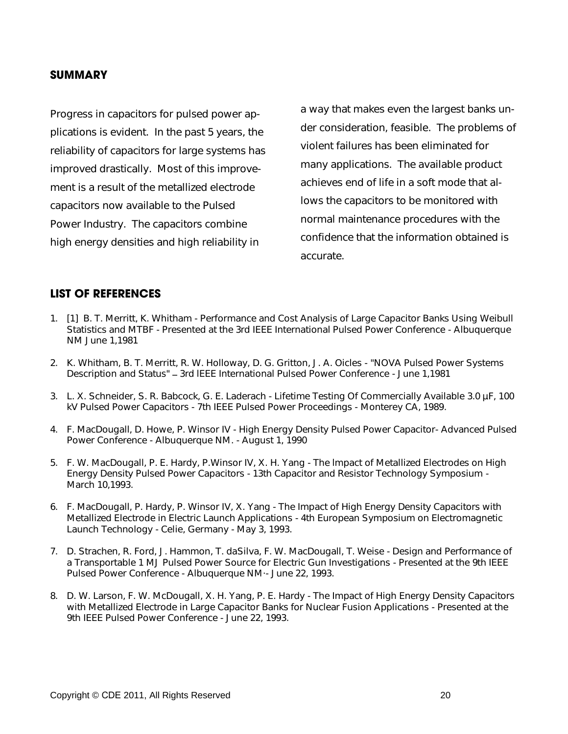### **SUMMARY**

Progress in capacitors for pulsed power applications is evident. In the past 5 years, the reliability of capacitors for large systems has improved drastically. Most of this improvement is a result of the metallized electrode capacitors now available to the Pulsed Power Industry. The capacitors combine high energy densities and high reliability in

a way that makes even the largest banks under consideration, feasible. The problems of violent failures has been eliminated for many applications. The available product achieves end of life in a soft mode that allows the capacitors to be monitored with normal maintenance procedures with the confidence that the information obtained is accurate.

### **LIST OF REFERENCES**

- 1. [1] B. T. Merritt, K. Whitham Performance and Cost Analysis of Large Capacitor Banks Using Weibull Statistics and MTBF - Presented at the 3rd IEEE International Pulsed Power Conference - Albuquerque NM June 1,1981
- 2. K. Whitham, B. T. Merritt, R. W. Holloway, D. G. Gritton, J. A. Oicles "NOVA Pulsed Power Systems Description and Status" - 3rd IEEE International Pulsed Power Conference - June 1,1981
- 3. L. X. Schneider, S. R. Babcock, G. E. Laderach Lifetime Testing Of Commercially Available 3.0 µF, 100 kV Pulsed Power Capacitors - 7th IEEE Pulsed Power Proceedings - Monterey CA, 1989.
- 4. F. MacDougall, D. Howe, P. Winsor IV High Energy Density Pulsed Power Capacitor- Advanced Pulsed Power Conference - Albuquerque NM. - August 1, 1990
- 5. F. W. MacDougall, P. E. Hardy, P.Winsor IV, X. H. Yang The lmpact of Metallized Electrodes on High Energy Density Pulsed Power Capacitors - 13th Capacitor and Resistor Technology Symposium - March 10,1993.
- 6. F. MacDougall, P. Hardy, P. Winsor IV, X. Yang The Impact of High Energy Density Capacitors with Metallized Electrode in Electric Launch Applications - 4th European Symposium on Electromagnetic Launch Technology - Celie, Germany - May 3, 1993.
- 7. D. Strachen, R. Ford, J. Hammon, T. daSilva, F. W. MacDougall, T. Weise Design and Performance of a Transportable 1 MJ Pulsed Power Source for Electric Gun Investigations - Presented at the 9th IEEE Pulsed Power Conference - Albuquerque NM·- June 22, 1993.
- 8. D. W. Larson, F. W. McDougall, X. H. Yang, P. E. Hardy The Impact of High Energy Density Capacitors with Metallized Electrode in Large Capacitor Banks for Nuclear Fusion Applications - Presented at the 9th IEEE Pulsed Power Conference - June 22, 1993.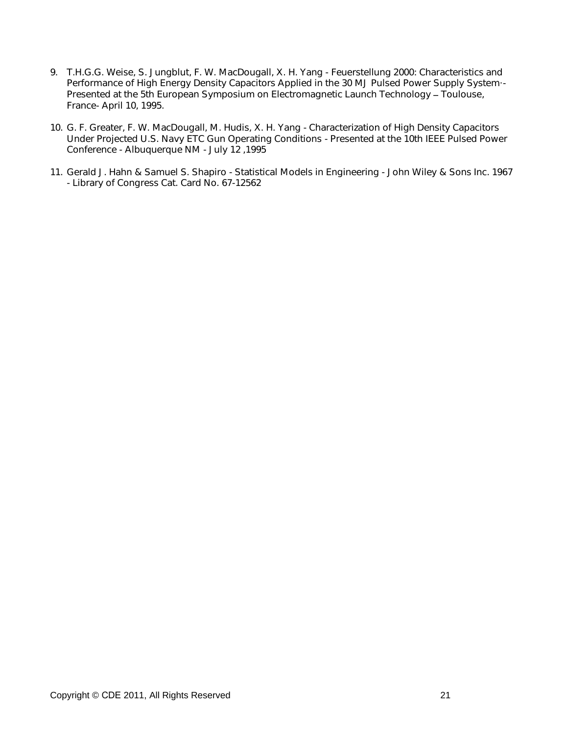- 9. T.H.G.G. Weise, S. Jungblut, F. W. MacDougall, X. H. Yang Feuerstellung 2000: Characteristics and Performance of High Energy Density Capacitors Applied in the 30 MJ Pulsed Power Supply System·- Presented at the 5th European Symposium on Electromagnetic Launch Technology - Toulouse, France- April 10, 1995.
- 10. G. F. Greater, F. W. MacDougall, M. Hudis, X. H. Yang Characterization of High Density Capacitors Under Projected U.S. Navy ETC Gun Operating Conditions - Presented at the 10th IEEE Pulsed Power Conference - Albuquerque NM - July 12 ,1995
- 11. Gerald J. Hahn & Samuel S. Shapiro Statistical Models in Engineering John Wiley & Sons Inc. 1967 - Library of Congress Cat. Card No. 67-12562